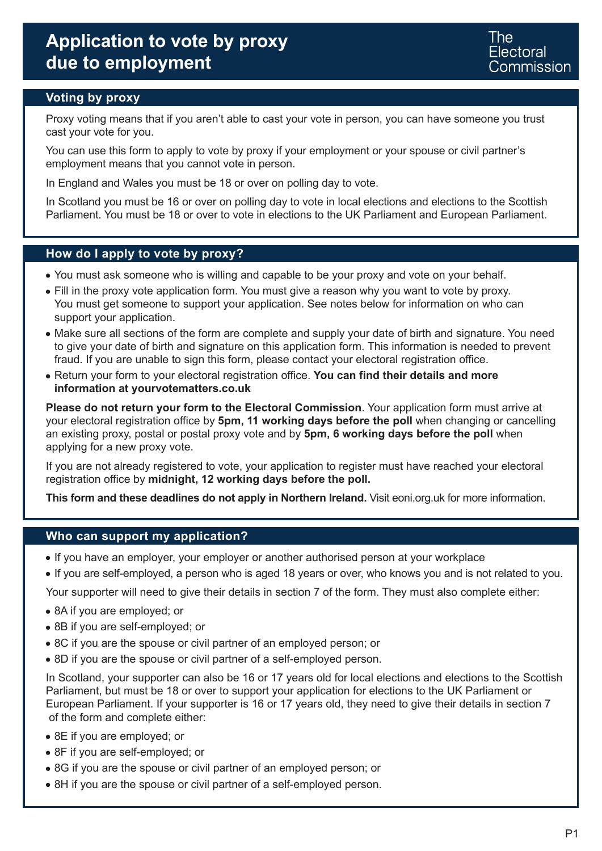### **Voting by proxy**

Proxy voting means that if you aren't able to cast your vote in person, you can have someone you trust cast your vote for you.

You can use this form to apply to vote by proxy if your employment or your spouse or civil partner's employment means that you cannot vote in person.

In England and Wales you must be 18 or over on polling day to vote.

In Scotland you must be 16 or over on polling day to vote in local elections and elections to the Scottish Parliament. You must be 18 or over to vote in elections to the UK Parliament and European Parliament.

### **How do I apply to vote by proxy?**

- You must ask someone who is willing and capable to be your proxy and vote on your behalf.
- Fill in the proxy vote application form. You must give a reason why you want to vote by proxy. You must get someone to support your application. See notes below for information on who can support your application.
- Make sure all sections of the form are complete and supply your date of birth and signature. You need to give your date of birth and signature on this application form. This information is needed to prevent fraud. If you are unable to sign this form, please contact your electoral registration office.
- Return your form to your electoral registration office. **You can find their details and more information at yourvotematters.co.uk**

**Please do not return your form to the Electoral Commission**. Your application form must arrive at your electoral registration office by **5pm, 11 working days before the poll** when changing or cancelling an existing proxy, postal or postal proxy vote and by **5pm, 6 working days before the poll** when applying for a new proxy vote.

If you are not already registered to vote, your application to register must have reached your electoral registration office by **midnight, 12 working days before the poll.**

**This form and these deadlines do not apply in Northern Ireland.** Visit eoni.org.uk for more information.

#### **Who can support my application?**

- If you have an employer, your employer or another authorised person at your workplace
- If you are self-employed, a person who is aged 18 years or over, who knows you and is not related to you.

Your supporter will need to give their details in section 7 of the form. They must also complete either:

- 8A if you are employed; or
- 8B if you are self-employed; or
- 8C if you are the spouse or civil partner of an employed person; or
- 8D if you are the spouse or civil partner of a self-employed person.

In Scotland, your supporter can also be 16 or 17 years old for local elections and elections to the Scottish Parliament, but must be 18 or over to support your application for elections to the UK Parliament or European Parliament. If your supporter is 16 or 17 years old, they need to give their details in section 7 of the form and complete either:

- 8E if you are employed; or
- 8F if you are self-employed; or
- 8G if you are the spouse or civil partner of an employed person; or
- 8H if you are the spouse or civil partner of a self-employed person.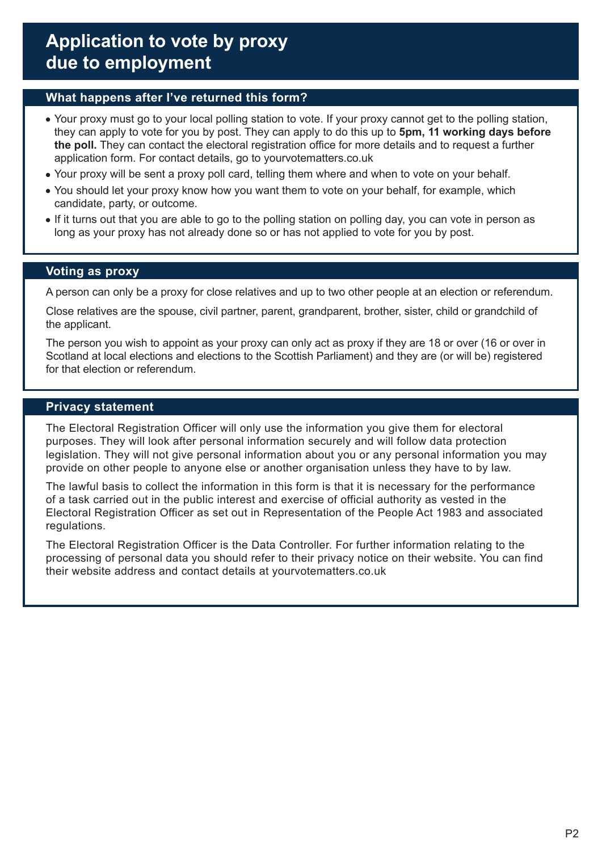### **What happens after I've returned this form?**

- Your proxy must go to your local polling station to vote. If your proxy cannot get to the polling station, they can apply to vote for you by post. They can apply to do this up to **5pm, 11 working days before the poll.** They can contact the electoral registration office for more details and to request a further application form. For contact details, go to yourvotematters.co.uk
- Your proxy will be sent a proxy poll card, telling them where and when to vote on your behalf.
- You should let your proxy know how you want them to vote on your behalf, for example, which candidate, party, or outcome.
- If it turns out that you are able to go to the polling station on polling day, you can vote in person as long as your proxy has not already done so or has not applied to vote for you by post.

### **Voting as proxy**

A person can only be a proxy for close relatives and up to two other people at an election or referendum.

Close relatives are the spouse, civil partner, parent, grandparent, brother, sister, child or grandchild of the applicant.

The person you wish to appoint as your proxy can only act as proxy if they are 18 or over (16 or over in Scotland at local elections and elections to the Scottish Parliament) and they are (or will be) registered for that election or referendum.

### **Privacy statement**

The Electoral Registration Officer will only use the information you give them for electoral purposes. They will look after personal information securely and will follow data protection legislation. They will not give personal information about you or any personal information you may provide on other people to anyone else or another organisation unless they have to by law.

The lawful basis to collect the information in this form is that it is necessary for the performance of a task carried out in the public interest and exercise of official authority as vested in the Electoral Registration Officer as set out in Representation of the People Act 1983 and associated regulations.

The Electoral Registration Officer is the Data Controller. For further information relating to the processing of personal data you should refer to their privacy notice on their website. You can find their website address and contact details at yourvotematters.co.uk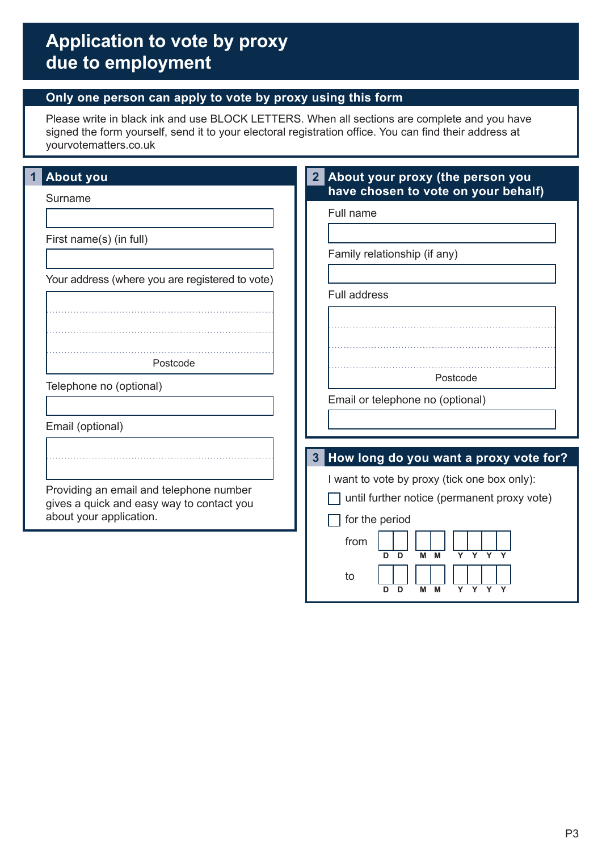### **Only one person can apply to vote by proxy using this form**

Please write in black ink and use BLOCK LETTERS. When all sections are complete and you have signed the form yourself, send it to your electoral registration office. You can find their address at yourvotematters.co.uk

| <b>About you</b>                                                                     | About your proxy (the person you<br>2 <sub>l</sub>                                          |
|--------------------------------------------------------------------------------------|---------------------------------------------------------------------------------------------|
| Surname                                                                              | have chosen to vote on your behalf)<br>Full name                                            |
| First name(s) (in full)                                                              |                                                                                             |
|                                                                                      | Family relationship (if any)                                                                |
| Your address (where you are registered to vote)                                      | <b>Full address</b>                                                                         |
|                                                                                      |                                                                                             |
|                                                                                      |                                                                                             |
| Postcode                                                                             |                                                                                             |
| Telephone no (optional)                                                              | Postcode<br>Email or telephone no (optional)                                                |
|                                                                                      |                                                                                             |
| Email (optional)                                                                     |                                                                                             |
|                                                                                      | How long do you want a proxy vote for?<br>$3\phantom{a}$                                    |
| Providing an email and telephone number<br>gives a quick and easy way to contact you | I want to vote by proxy (tick one box only):<br>until further notice (permanent proxy vote) |
| about your application.                                                              | for the period                                                                              |
|                                                                                      | from<br>D<br>Y Y Y<br>M<br>M<br>D<br>Y                                                      |
|                                                                                      | to<br>Y Y Y Y<br>D<br>D<br>М<br>М                                                           |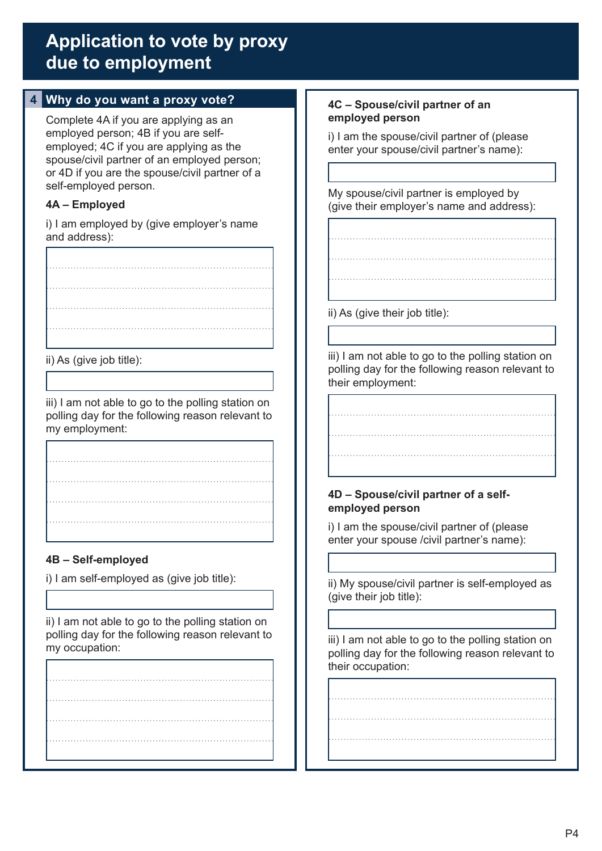## **4 Why do you want a proxy vote?**

Complete 4A if you are applying as an employed person; 4B if you are selfemployed; 4C if you are applying as the spouse/civil partner of an employed person; or 4D if you are the spouse/civil partner of a self-employed person.

### **4A – Employed**

i) I am employed by (give employer's name and address):

ii) As (give job title):

iii) I am not able to go to the polling station on polling day for the following reason relevant to my employment:

### **4B – Self-employed**

i) I am self-employed as (give job title):

ii) I am not able to go to the polling station on polling day for the following reason relevant to my occupation:

### **4C – Spouse/civil partner of an employed person**

i) I am the spouse/civil partner of (please enter your spouse/civil partner's name):

My spouse/civil partner is employed by (give their employer's name and address):

ii) As (give their job title):

iii) I am not able to go to the polling station on polling day for the following reason relevant to their employment:

### **4D – Spouse/civil partner of a selfemployed person**

i) I am the spouse/civil partner of (please enter your spouse /civil partner's name):

ii) My spouse/civil partner is self-employed as (give their job title):

iii) I am not able to go to the polling station on polling day for the following reason relevant to their occupation: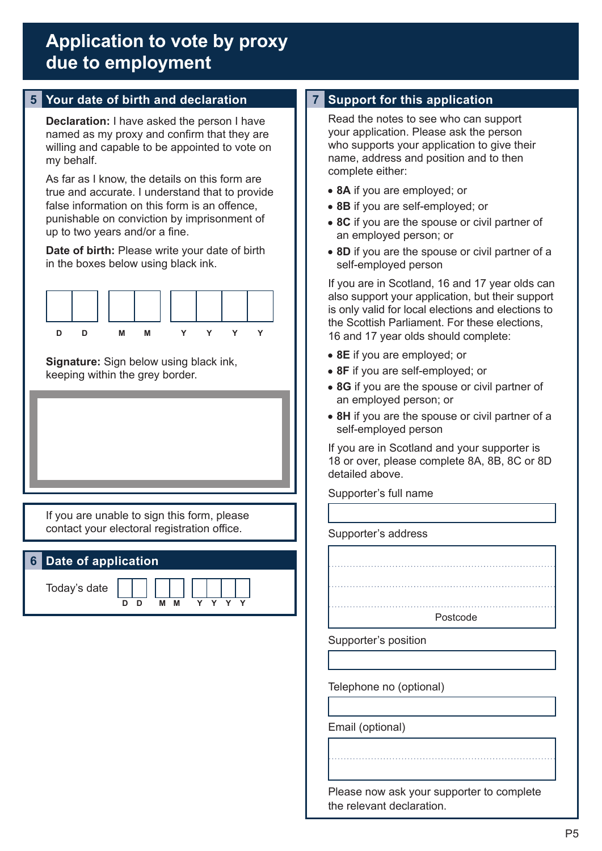## **5 Your date of birth and declaration 7 Support for this application**

**Declaration:** I have asked the person I have named as my proxy and confirm that they are willing and capable to be appointed to vote on my behalf.

As far as I know, the details on this form are true and accurate. I understand that to provide false information on this form is an offence, punishable on conviction by imprisonment of up to two years and/or a fine.

**Date of birth:** Please write your date of birth in the boxes below using black ink.



**Signature:** Sign below using black ink, keeping within the grey border.

If you are unable to sign this form, please contact your electoral registration office.

### **6 Date of application**

Today's date

**D D M M Y Y Y Y**

Read the notes to see who can support your application. Please ask the person who supports your application to give their name, address and position and to then complete either:

- **8A** if you are employed; or
- **8B** if you are self-employed; or
- **8C** if you are the spouse or civil partner of an employed person; or
- **8D** if you are the spouse or civil partner of a self-employed person

If you are in Scotland, 16 and 17 year olds can also support your application, but their support is only valid for local elections and elections to the Scottish Parliament. For these elections, 16 and 17 year olds should complete:

- **8E** if you are employed; or
- **8F** if you are self-employed; or
- **8G** if you are the spouse or civil partner of an employed person; or
- **8H** if you are the spouse or civil partner of a self-employed person

If you are in Scotland and your supporter is 18 or over, please complete 8A, 8B, 8C or 8D detailed above.

Postcode

Supporter's full name

#### Supporter's address

Telephone no (optional)

Supporter's position

Email (optional)

Please now ask your supporter to complete the relevant declaration.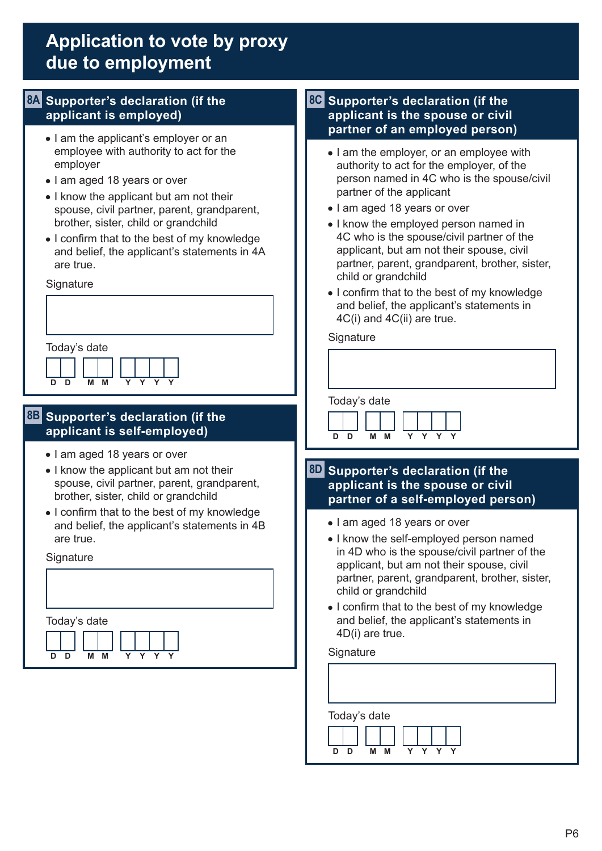### **8A Supporter's declaration (if the applicant is employed)**

- I am the applicant's employer or an employee with authority to act for the employer
- I am aged 18 years or over
- I know the applicant but am not their spouse, civil partner, parent, grandparent, brother, sister, child or grandchild
- I confirm that to the best of my knowledge and belief, the applicant's statements in 4A are true.

**Signature** 

| Today's date                  |  |
|-------------------------------|--|
| M M Y Y Y Y<br>D <sub>D</sub> |  |

### **8B Supporter's declaration (if the applicant is self-employed)**

- I am aged 18 years or over
- I know the applicant but am not their spouse, civil partner, parent, grandparent, brother, sister, child or grandchild
- I confirm that to the best of my knowledge and belief, the applicant's statements in 4B are true.

**Signature** 

Today's date **D D M M Y Y Y Y**

### **8C Supporter's declaration (if the applicant is the spouse or civil partner of an employed person)**

- I am the employer, or an employee with authority to act for the employer, of the person named in 4C who is the spouse/civil partner of the applicant
- I am aged 18 years or over
- I know the employed person named in 4C who is the spouse/civil partner of the applicant, but am not their spouse, civil partner, parent, grandparent, brother, sister, child or grandchild
- I confirm that to the best of my knowledge and belief, the applicant's statements in 4C(i) and 4C(ii) are true.

#### **Signature**





### **8D Supporter's declaration (if the applicant is the spouse or civil partner of a self-employed person)**

- I am aged 18 years or over
- I know the self-employed person named in 4D who is the spouse/civil partner of the applicant, but am not their spouse, civil partner, parent, grandparent, brother, sister, child or grandchild
- I confirm that to the best of my knowledge and belief, the applicant's statements in 4D(i) are true.

#### **Signature**